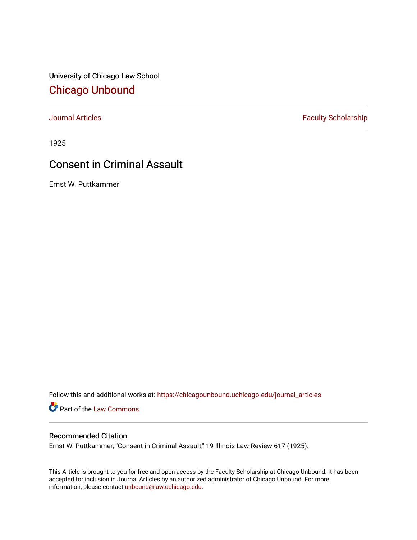University of Chicago Law School [Chicago Unbound](https://chicagounbound.uchicago.edu/)

[Journal Articles](https://chicagounbound.uchicago.edu/journal_articles) **Faculty Scholarship Faculty Scholarship** 

1925

## Consent in Criminal Assault

Ernst W. Puttkammer

Follow this and additional works at: [https://chicagounbound.uchicago.edu/journal\\_articles](https://chicagounbound.uchicago.edu/journal_articles?utm_source=chicagounbound.uchicago.edu%2Fjournal_articles%2F9029&utm_medium=PDF&utm_campaign=PDFCoverPages) 

Part of the [Law Commons](http://network.bepress.com/hgg/discipline/578?utm_source=chicagounbound.uchicago.edu%2Fjournal_articles%2F9029&utm_medium=PDF&utm_campaign=PDFCoverPages)

### Recommended Citation

Ernst W. Puttkammer, "Consent in Criminal Assault," 19 Illinois Law Review 617 (1925).

This Article is brought to you for free and open access by the Faculty Scholarship at Chicago Unbound. It has been accepted for inclusion in Journal Articles by an authorized administrator of Chicago Unbound. For more information, please contact [unbound@law.uchicago.edu](mailto:unbound@law.uchicago.edu).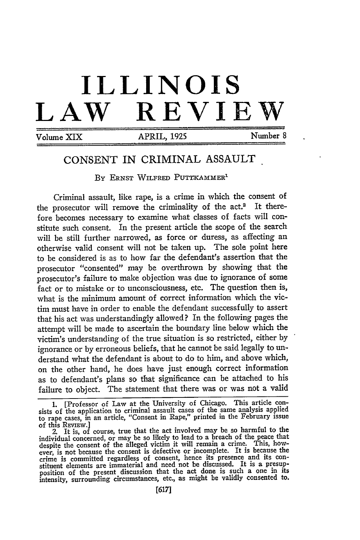# **ILLINOIS** LAW REVIE

Volume XIX **APRIL, 1925** Number 8

### CONSENT IN CRIMINAL ASSAULT

By **ERNST** WILFRED **PUTTrKAMMER'**

Criminal assault, like rape, is a crime in which the consent of the prosecutor will remove the criminality of the act.<sup>2</sup> It therefore becomes necessary to examine what classes of facts will constitute such consent. In the present article the scope of the search will be still further narrowed, as force or duress, as affecting an otherwise valid consent will not be taken up. The sole point here to be considered is as to how far the defendant's assertion that the prosecutor "consented" may be overthrown by showing that the prosecutor's failure to make objection was due to ignorance of some fact or to mistake or to unconsciousness, etc. The question then is, what is the minimum amount of correct information which the victim must have in order to enable the defendant successfully to assert that his act was understandingly allowed? In the following pages the attempt will be made to ascertain the boundary line below which the victim's understanding of the true situation is so restricted, either by ignorance or by erroneous beliefs, that he cannot be said legally to understand what the defendant is about to do to him, and above which, on the other hand, he does have just enough correct information as to defendant's plans so that significance can be attached to his failure to object. The statement that there was or was not a valid

**<sup>1.</sup>** [Professor of Law at the University of Chicago. This article consists of the application to criminal assault cases of the same analysis applied to rape cases, in an article, "Consent in Rape," printed in the February issue

of this REvmw.] 2. It is, of course, true that the act involved may be so harmful to the individual concerned, or may be so likely to lead to a breach of the peace that despite the consent of the alleged victim it will remain a crime. This, how-ever, is not because the consent is defective or incomplete. It is because the crime is committed regardless of consent, hence its presence and its constituent elements are immaterial and need not be discussed. It is a presup-position of the present discussion that the act done is such a one in its intensity, surrounding circumstances, etc., as might be validly consented to.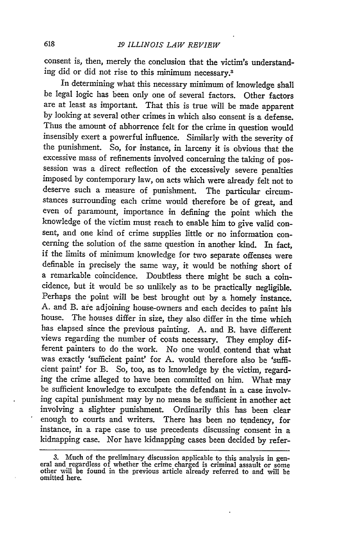consent is, then, merely the conclusion that the victim's understanding did or did not rise to this minimum necessary.3

In determining what this necessary minimum of knowledge shall be legal logic has been only one of several factors. Other factors are at least as important. That this is true will be made apparent by looking at several other crimes in which also consent is a defense. Thus the amount of abhorrence felt for the crime in question would insensibly exert a powerful influence. Similarly with the severity of the punishment. So, for instance, in larceny it is obvious that the excessive mass of refinements involved concerning the taking of possession was a direct reflection of the excessively severe penalties imposed by contemporary law, on acts which were already felt not to deserve such a measure of punishment. The particular circumstances surrounding each crime would therefore be of great, and even of paramount, importance in defining the point which the knowledge of the victim must reach to enable him to give valid consent, and one kind of crime supplies little or no information concerning the solution of the same question in another kind. In fact, if the limits of minimum knowledge for two separate offenses were definable in precisely the same way, it would be nothing short of a remarkable coincidence. Doubtless there might be such a coincidence, but it would be so unlikely as to be practically negligible. Perhaps the point will be best brought out by a homely instance. A. and B. are adjoining house-owners and each decides to paint his house. The houses differ in size, they also differ in the time which has elapsed since the previous painting. A. and B. have different views regarding the number of coats necessary. They employ different painters to do the work. No one would, contend that what was exactly 'sufficient paint' for A. would therefore also be 'sufficient paint' for B. So, too, as to knowledge by the victim, regarding the crime alleged to have been committed on him. What may be sufficient knowledge to exculpate the defendant in a case involving capital punishment may **by** no means be sufficient in another act involving a slighter punishment. Ordinarily this has been clear enough to courts and writers. There has been no tendency, for instance, in a rape case to use precedents discussing consent in a kidnapping case. Nor have kidnapping cases been decided by refer-

<sup>3.</sup> Much of the preliminary discussion applicable to this analysis in general and regardless of whether the crime charged is criminal assault or some other will be found in the previous article already referred to and will omitted here.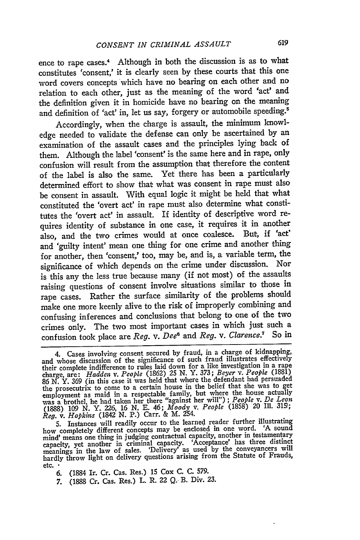ence to rape cases.<sup>4</sup> Although in both the discussion is as to what constitutes 'consent,' it is clearly seen by these courts that this one word covers concepts which have no bearing on each other and no relation to each other, just as the meaning of the word 'act' and the definition given it in homicide have no bearing on the meaning and definition of 'act' in, let us say, forgery or automobile speeding.5

Accordingly, when the charge is assault, the minimum knowledge needed to validate the defense can only be ascertained by an examination of the assault cases and the principles lying back of them. Although the label 'consent' is the same here and in rape, only confusion will result from the assumption that therefore the content of the label is also the same. Yet there has been a particularly determined effort to show that what was consent in rape must also be consent in assault. With equal logic it might be held that what constituted the 'overt act' in rape must also determine what constitutes the 'overt act' in assault. If identity of descriptive word requires identity of substance in one case, it requires it in another also, and the two crimes would at once coalesce. But, if 'act' and 'guilty intent' mean one thing for one crime and another thing for another, then 'consent,' too, may be, and is, a variable term, the significance of which depends on the crime under discussion. Nor is this any the less true because many (if not most) of the assaults raising questions of consent involve situations similar to those in rape cases. Rather the surface similarity of the problems should make one more keenly alive to the risk of improperly combining and confusing inferences and conclusions that belong to one of the two crimes only. The two most important cases in which just such a confusion took place are *Reg. v. Dee6* and *Reg.* v. *Clarence.7* So in

5. Instances will readily occur to the learned reader further illustrating<br>how completely different concepts may be enclosed in one word. 'A sound mind' means one thing in judging contractual capacity, another in testamentary<br>capacity, yet another in criminal capacity. 'Acceptance' has three distinct meanings in the law of sales. 'Delivery' as used by the conveyancers will hardly throw light on delivery questions arising from the Statute of Frauds, etc. •

6. (1884 Ir. Cr. Cas. Res.) 15 Cox C. C. 579.

7. (1888 Cr. Cas. Res.) L. R. 22 Q. B. Div. **23.**

<sup>4.</sup> Cases involving consent secured by fraud, in a charge of kidnapping, and whose discussion of the significance of such fraud illustrates effectively their complete indifference to rules laid down for a like investigation in a rape charge, are: *Hadden v. People* (1862) 25 *N.* Y. 373; *Beyer v. People* (1881) 86 N. Y. 369 (in this case it was held that where the defendant had persuaded the prosecutrix to come to a certain house in the belief that she was to get employment as maid in a respectable family, but where the house actually was a brothel, he had taken her there "against her will") ; *People v. De Leon* (1888) *109* N. Y. 226, 16 N. E. 46; *Moody v. People* (1858) 20 Ill. **319;** *Reg. v. Hopkins* (1842 **N.** P.) Carr. & M. 254.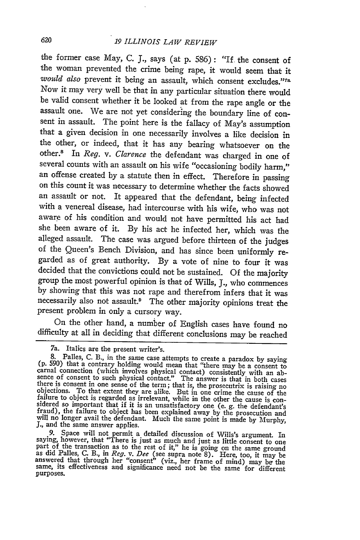#### *oU 19 ILLINOIS LAW REVIEW*

the former case May, C. J., says (at p. 586): "If the consent of the woman prevented the crime being rape, it would seem that it would also prevent it being an assault, which consent excludes.<sup>"The no</sup>vel also prevent it being an assault, which consent excludes."<sup>The</sup> Now it may very well be that in any particular situation there would be valid consent whether it be looked at from the rape angle or the assault one. We are not yet considering the boundary line of consent in assault. The point here is the fallacy of May's assumption that a given decision in one necessarily involves a like decision in the other, or indeed, that it has any bearing whatsoever on the other.8 In *Reg. v. Clarence* the defendant was charged in one of several counts with an assault on his wife "occasioning bodily harm," an offense created by a statute then in effect. Therefore in passing on this count it was necessary to determine whether the facts showed an assault or not. It appeared that the defendant, being infected with a venereal disease, had intercourse with his wife, who was not aware of his condition and would not have permitted his act had she been aware of it. By his act he infected her, which was the alleged assault. The case was argued before thirteen of the judges of the Queen's Bench Division, and has since been uniformly regarded as of great authority. By a vote of nine to four it was decided that the convictions could not be sustained. Of the majority group the most powerful opinion is that of Wills, **J.,** who commences by showing that this was not rape and therefrom infers that it was necessarily also not assault.9 The other majority opinions treat the present problem in only a cursory way.

On the other hand, a number of English cases have found no difficulty at all in deciding that different conclusions may be reached

<sup>7</sup>a. Italics are the present writer's.

<sup>7</sup>a. Italics are the present writer's.<br>
8. Palles, C. B., in the same case attempts to create a paradox by saying<br>
(p. 590) that a contrary holding would mean that "there may be a consent to<br>
carnal connection (which invol

<sup>9.</sup> Space will not permit a detailed discussion of Wills's argument. In saying, however, that "There is just as much and just as little consent to one part of the transaction as to the rest of it," he is going on the same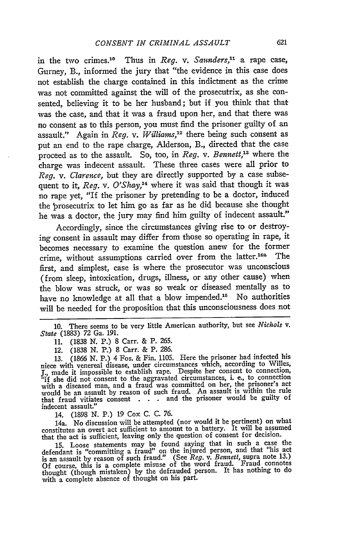in the two crimes.10 Thus in *Reg. v. Saunders,"'* a rape case, Gurney, B., informed the jury that "the evidence in this case does not establish the charge contained in this indictment as the crime was not committed against the will of the prosecutrix, as she consented, believing it to be her husband; but if you think that that was the case, and that it was a fraud upon her, and that there was no consent as to this person, you must find the prisoner guilty of an assault." Again in *Reg. v. Williams*,<sup>12</sup> there being such consent as put an end to the rape charge, Alderson, B., directed that the case proceed as to the assault. So, too, in *Reg. v. Bennett,'"* where the charge was indecent assault. These three cases were all prior to *Reg. v. Clarence,* but they are directly supported **by** a case subsequent to it, *Reg. v. O'Shay,14* where it was said that though it was no rape yet, "If the prisoner **by** pretending to be a doctor, induced the prosecutrix to let him go as far as he did because she thought he was a doctor, the jury may find him guilty of indecent assault."

Accordingly, since the circumstances giving rise to or destroying consent in assault may differ from those so operating in rape, it becomes necessary to examine the question anew for the former crime, without assumptions carried over from the latter.<sup>14a</sup> The first, and simplest, case is where the prosecutor was unconscious (from sleep, intoxication, drugs, illness, or any other cause) when the blow was struck, or was so weak or diseased mentally as to have no knowledge at all that a blow impended.<sup>15</sup> No authorities *will* be needed for the proposition that this unconsciousness does not

**10.** There seems to be very little American authority, but see *Nichols v. State* **(1883) 72** Ga. **191.**

**11. (1838 N.** P.) **8** Carr. **&** P. **265.**

12. **(1838 N.** P.) **8** Carr. **&** P. **286.**

**13. (1866 N.** P.) 4 Fos. **&** Fin. **1105.** Here the prisoner **had** infected his niece with venereal disease, under circumstances which, according to Willes, **J.,** made it impossible to establish rape. Despite her consent to connection, "if she did not consent to the aggravated circumstances, i. e., to connection with a diseased man, and a fraud was committed on her, the prisoner's act would be an assault by reason of such fraud. An assault is within the rule that fraud vitiates consent **. . .** and the prisoner would be guilty of indecent assault."

14. **(1898 N.** P.) **19 Cox C. C. 76.**

14a. No discussion will be attempted (nor would it be pertinent) on what<br>constitutes an overt act sufficient to amount to a battery. It will be assumed<br>that the act is sufficient, leaving only the question of consent for d

15. Loose statements may be found saying that in such a case the defendant is "committing a fraud" on the injured person, and that "his act" is an assault **by** reason of such fraud." (See *Reg. v. Bennett,* supra note **13.) Of** course, this is a complete misuse of the word fraud. Fraud connotes thought (though mistaken) **by** the defrauded person. It has nothing to do with a complete absence of thought on his part.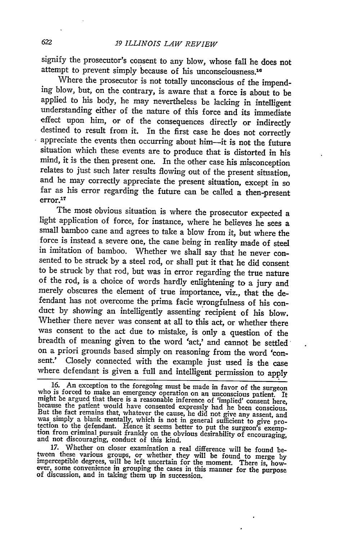signify the prosecutor's consent to any blow, whose fall he does not attempt to prevent simply because of his unconsciousness.<sup>16</sup><br>Where the prosecutor is not totally unconscious of the impend-

ing blow, but, on the contrary, is aware that a force is about to be applied to his body, he may nevertheless be lacking in intelligent understanding either of the nature of this force and its immediate effect upon him, or of the consequences directly or indirectly destined to result from it. In the first case he does not correctly appreciate the events then occurring about him-it is not the future situation which these events are to produce that is distorted in his mind, it is the then present one. In the other case his misconception relates to just such later results flowing out of the present situation, and he may correctly appreciate the present situation, except in so far as his error regarding the future can be called a then-present error.<sup>17</sup>

The most obvious situation is where the prosecutor expected a light application of force, for instance, where he believes he sees a small bamboo cane and agrees to take a blow from it, but where the force is instead a severe one, the cane being in reality made of steel in imitation of bamboo. Whether we shall say that he never consented to be struck by a steel rod, or shall put it that he did consent to be struck by that rod, but was in error regarding the true nature of the rod, is a choice of words hardly enlightening to a jury and merely obscures the element of true importance, viz., that the defendant has not overcome the prima facie wrongfulness of his conduct by showing an intelligently assenting recipient of his blow. Whether there never was consent at all to this act, or whether there was consent to the act due to mistake, is only a question of the breadth of meaning given to the word 'act,' and cannot be settled on a priori grounds based simply on reasoning from the word 'consent.' Closely connected with the example just used is the case where defendant is given a full and intelligent permission to apply

17. Whether on closer examination a real difference will be found be-<br>tween these various groups, or whether they will be found to merge by<br>imperceptible degrees, will be left uncertain for the moment. There is, how-<br> $\frac{1$ ever, some convenience in grouping the cases in this manner for the purpose of discussion, and in taking them up in succession.

<sup>16.</sup> An exception to the foregoing must be made in favor of the surgeon<br>who is forced to make an emergency operation on an unconscious patient. It<br>might be argued that there is a reasonable inference of 'implied' consent h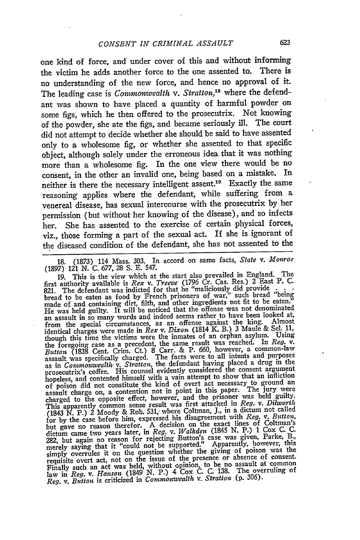one kind of force, and under cover of this and without informing the victim he adds another force to the one assented to. There is no understanding of the new force, and hence no approval of it. The leading case is *Commonwealth v. Stratton,"* where the defendant was shown to have placed a quantity of harmful powder on some figs, which he then offered to the prosecutrix. Not knowing of the powder, she ate the figs, and became seriously ill. The court did not attempt to decide whether she should be said to have assented only to a wholesome **fig,** or whether she assented to that specific object, although solely under the erroneous idea that it was nothing more than a wholesome **fig.** In the one view there would be no consent, in the other an invalid one, being based on a mistake. In neither is there the necessary intelligent assent.19 Exactly the same reasoning applies where the defendant, while suffering from a venereal disease, has sexual intercourse with the prosecutrix **by** her permission (but without her knowing of the disease), and so infects her. She has assented to the exercise of certain physical forces, viz., those forming a part of the sexual act. If she is ignorant of the diseased condition of the defendant, she has not assented to the

**18. (1873)** 114 Mass. **303.** In accord on same facts, *State v. Monroe* **(1897)** 121 **N. C. 677, 28 S. E.** 547.

19. This is the view which at the start also prevailed in England. The first authority available is *Rex v. Treeve* (1796 Cr. Cas. Res.) 2 East P. **C. 821.** The defendant was indicted for that he "maliciously did provide **. . .** bread to be eaten as food by French prisoners of war," such bread "being<br>made of and containing dirt, filth, and other ingredients not fit to be eaten." may be noticed that the offense was not denominated<br>an assault in so many words and indeed seems rather to have been looked at,<br>an assault in so many words and indeed seems rather than the hing. and assume in so many worst area of from the special circumstances, as an offense against the king. Almost<br>identical charges were made in Rex v. Dixon (1814 K. B.) 3 Maule & Sel. 11,<br>though this time the victims were the i Euro (1838 Cent. Crim. Ct.) 8 Carr. & P. 660, however, a common-law<br>assault was specifically charged. The facts were to all intents and purposes<br>as in *Commonwealth* v. Stratton, the defendant having placed a drug in the prosecutrix's coffee. His counsel evidently considered the consent argument<br>hopeless, and contented himself with a vain attempt to show that an infliction<br>hopeless, and contented himself with a vain attempt to show that an assault charge on, a concentration for the prisoner was held guilty.<br>Charged to the opposite effect, however, and the prisoner was held guilty.<br>This apparently common sense result was first attacked in *Reg. v. Dilworth*<br>( for by the case before the decision on the exact lines of Coltman's<br>dictum came two years later, in Reg. v. Walkden (1845 N. P.) 1 Cox C. C.<br>282, but again no reason for rejecting Button's case was given, Parke, B. zez, but again no reason for rejeems because Apparently, however, this<br>merely saying that it "could not be supported." Apparently, however, this merely saying mat it common whether the giving of poison was the<br>requisite overt act, not on the issue of the presence or absence of consent.<br>Finally such an act was held, without opinion, to be no assault at common<br>Finall Finally such an act was ficto, N. P.) 4 Cox C. C. 138. The overruling of<br>law in *Reg. v. Hanson* (1849 N. P.) 4 Cox C. C. 138. The overruling of *Reg. v. Button* is criticized in *Commonwealth v. Stratton* (p. 306).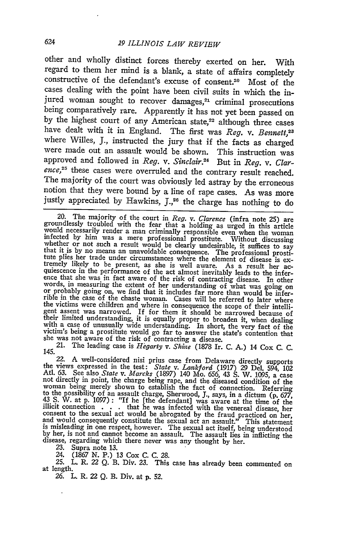other and wholly distinct forces thereby exerted on her. With regard to them her mind is a blank, a state of affairs completely constructive of the defendant's excuse of consent.20 Most of the cases dealing with the point have been civil suits in which the injured woman sought to recover damages, $21$  criminal prosecutions being comparatively rare. Apparently it has not yet been passed on by the highest court of any American state,<sup>22</sup> although three cases have dealt with it in England. The first was *Reg. v. Bennett*,<sup>23</sup> where Willes, J., instructed the jury that if the facts as charged were made out an assault would be shown. This instruction was approved and followed in *Reg. v. Sinclair.24* But in *Reg. v. Clar*ence,<sup>25</sup> these cases were overruled and the contrary result reached. The majority of the court was obviously led astray by the erroneous notion that they were bound by a line of rape cases. As was more justly appreciated by Hawkins, J.,<sup>26</sup> the charge has nothing to do

21. The leading case is *Hegarty v. Shine* (1878 Ir. C. A.) 14 Cox C. C.

145.<br>
22. A well-considered nisi prius case from Delaware 1974. Consider the views expressed in the test: State v. Lankford (1917) 29 Del. 594, 102<br>
Atl. 63. See also State v. Marcks (1897) 140 Mo. 656, 43 S. W. 1095, a c

23. Supra note 13.

24. (1867 N. P.) 13 Cox C. C. 28.

**25.** L. R. *22 Q.* B. Div. **23.** This case has already been commented on at length.

*26.* L. R. *22 Q.* B. Div. at p. 52.

<sup>20.</sup> The majority of the court in *Reg.* v. *Clarence* (infra note 25) are groundlessly troubled with the fear that a holding as urged in this article would necessarily render a man criminally responsible even when the wom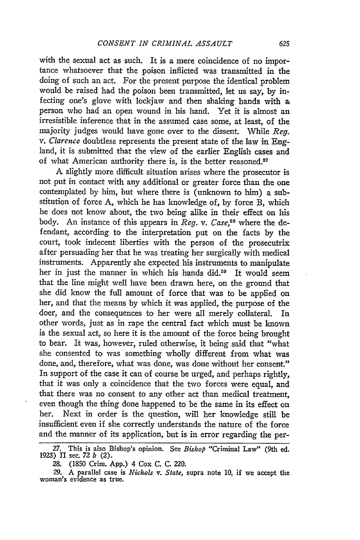with the sexual act as such. It is a mere coincidence of no importance whatsoever that the poison inflicted was transmitted in the doing of such an act. For the present purpose the identical problem would be raised had the poison been transmitted, let us say, by infecting one's glove with lockjaw and then shaking hands with **a** person who had an open wound in his hand. Yet it is almost an irresistible inference that in the assumed case some, at least, of the majority judges would have gone over to the dissent. While *Reg. v. Clarence* doubtless represents the present state of the law in England, it is submitted that the view of the earlier English cases and of what American authority there is, is the better reasoned.<sup>27</sup>

A slightly more difficult situation arises where the prosecutor is not put in contact with any additional or greater force than the one contemplated by him, but where there is (unknown to him) a substitution of force A, which he has knowledge of, by force B, which he does not know about, the two being alike in their effect on his body. An instance of this appears in *Reg. v. Case,28* where the defendant, according to the interpretation put on the facts by the court, took indecent liberties with the person of the prosecutrix after persuading her that he was treating her surgically with medical instruments. Apparently she expected his instruments to manipulate her in just the manner in which his hands did.29 It would seem that the line might well have been drawn here, on the ground that she did know the full amount of force that was to be applied on her, and that the means by which it was applied, the purpose of the doer, and the consequences to her were all merely collateral. In other words, just as in rape the central fact which must be known is the sexual act, so here it is the amount of the force being brought to bear. It was, however, ruled otherwise, it being said that "what she consented to was something wholly different from what was done, and, therefore, what was done, was done without her consent." In support of the case it can of course be urged, and perhaps rightly, that it was only a coincidence that the two forces were equal, and that there was no consent to any other act than medical treatment, even though the thing done happened to be the same in its effect on her. Next in order is the question, will her knowledge still be insufficient even if she correctly understands the nature of the force and the manner of its application, but is in error regarding the per-

<sup>27.</sup> This is also Bishop's opinion. See *Bishop* "Criminal Law" (9th ed. 1923) II sec. *72 b* (2).

<sup>28. (1850</sup> Crim. App.) 4 Cox C. C. 220.

**<sup>29.</sup>** A parallel case is *Nichols v. State,* supra note **10,** if we accept the woman's evidence as true.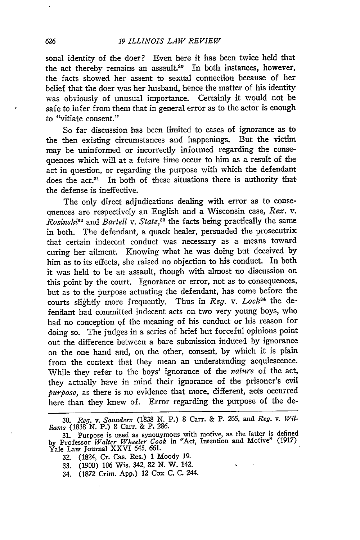sonal identity of the doer? Even here it has been twice held that the act thereby remains an assault.<sup>80</sup> In both instances, however, the facts showed her assent to sexual connection because of her belief that the doer was her husband, hence the matter of his identity was obviously of unusual importance. Certainly it would not be safe to infer from them that in general error as to the actor is enough to "vitiate consent."

So far discussion has been limited to cases of ignorance as to the then existing circumstances and happenings. But the victim may be uninformed or incorrectly informed regarding the consequences which will at a future time occur to him as a result of the act in question, or regarding the purpose with which the defendant does the act.<sup>31</sup> In both of these situations there is authority that the defense is ineffective.

The only direct adjudications dealing with error as to consequences are respectively an English and a Wisconsin case, *Rex. v. Rosinski*<sup>32</sup> and *Bartell v. State*,<sup>33</sup> the facts being practically the same in both. The defendant, a quack healer, persuaded the prosecutrix that certain indecent conduct was necessary as a means toward curing her ailment. Knowing what he was doing but deceived **by** him as to its effects, she raised no objection to his conduct. In both it was held to be an assault, though with almost no discussion on this point **by** the court. Ignorance or error, not as to consequences, but as to the purpose actuating the defendant, has come before the courts slightly more frequently. Thus in *Reg. v. Lock34* the defendant had committed indecent acts on two very young boys, who had no conception **of** the meaning of his conduct or his reason for doing so. The judges in a series of brief but forceful opinions point out the difference between a bare submission induced **by** ignorance on the one hand and, on the other, consent, **by** which it is plain from the context that they mean an understanding acquiescence. While they refer to the boys' ignorance of the *nature* of the act, they actually have in mind their ignorance of the prisoner's evil *purpose,* as there is no evidence that more, different, acts occurred here than they knew of. Error regarding the purpose of the de-

- 32. (1824, Cr. Cas. Res.) 1 Moody 19.
- **33.** (1900) 106 Wis. 342, 82 N. W. 142.
- 34. (1872 Crim. App.) 12 Cox C. C. 244.

**<sup>30.</sup>** *Reg. v. Samnders* **(11838 N.** P.) 8 Carr. & P. *265,* and *Reg. v. Williouns* (1838 **N.** P.) 8 **Carr.** & P. 286.

<sup>31.</sup> Purpose is used as synonymous with motive, as the latter is defined by Professor *Walter Wheeler Cook* in "Act, Intention and Motive" (1917) Yale Law Journal XXVI 645. 661.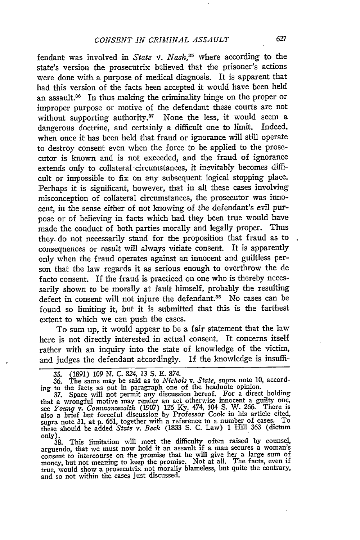fendant was involved in *State v. Nash,35* where according to the state's version the prosecutrix believed that the prisoner's actions were done with a purpose of medical diagnosis. It is apparent that had this version of the facts been accepted it would have been held an assault.<sup>36</sup> In thus making the criminality hinge on the proper or improper purpose or motive of the defendant these courts are not without supporting authority.<sup>37</sup> None the less, it would seem a dangerous doctrine, and certainly a difficult one to limit. Indeed, when once it has been held that fraud or ignorance will still operate to destroy consent even when the force to be applied to the prosecutor is known and is not exceeded, and the fraud of ignorance extends only to collateral circumstances, it inevitably becomes difficult or impossible to fix on any subsequent logical stopping place. Perhaps it is significant, however, that in all these cases involving misconception of collateral circumstances, the prosecutor was innocent, in the sense either of not knowing of the defendant's evil purpose or of believing in facts which had they been true would have made the conduct of both parties morally and legally proper. Thus they. do not necessarily stand for the proposition that fraud as to consequences or result will always vitiate consent. It is apparently only when the fraud operates against an innocent and guiltless person that the law regards it as serious enough to overthrow the de facto consent. If the fraud is practiced on one who is thereby necessarily shown to be morally at fault himself, probably the resulting defect in consent will not injure the defendant.<sup>38</sup> No cases can be found so limiting it, but it is submitted that this is the farthest extent to which we can push the cases.

To sum up, it would appear to be a fair statement that the law here is not directly interested in actual consent. It concerns itself rather with an inquiry into the state of knowledge of the victim, and judges the defendant atcordingly. If the knowledge is insuffi-

38. This limitation will meet the difficulty often raised by counsel, arguendo, that we must now hold it an assault if a man secures a woman's consent to intercourse on the promise that he will give her a large sum of money, but not meaning to keep the promise. Not at all. The facts, even if true, would show a prosecutrix not morally blameless, but quite the contrary, and so not within the cases just discussed.

*<sup>35.</sup>* (1891) *109 N.* C. 824, 13 S. E. 874.

<sup>36.</sup> The same may be said as to *Nichols v. State,* supra note 10, accord-

ing to the facts as put in paragraph one of the headnote opinion. 37. Space will not permit any discussion hereof. For a direct holding that a wrongful motive may render an act otherwise innocent a guilty one, see *Young v. Conwwnwealth* (1907) 126 Ky. 474, 104 S. W. 266. There is also a brief but forceful discussion by Professor Cook in his article cited, supra note 31, at p. 661, together with a reference to a number of cases. To these should be added *State v. Beck* (1833 S. C. Law) 1 Hill 363 (dictum only).